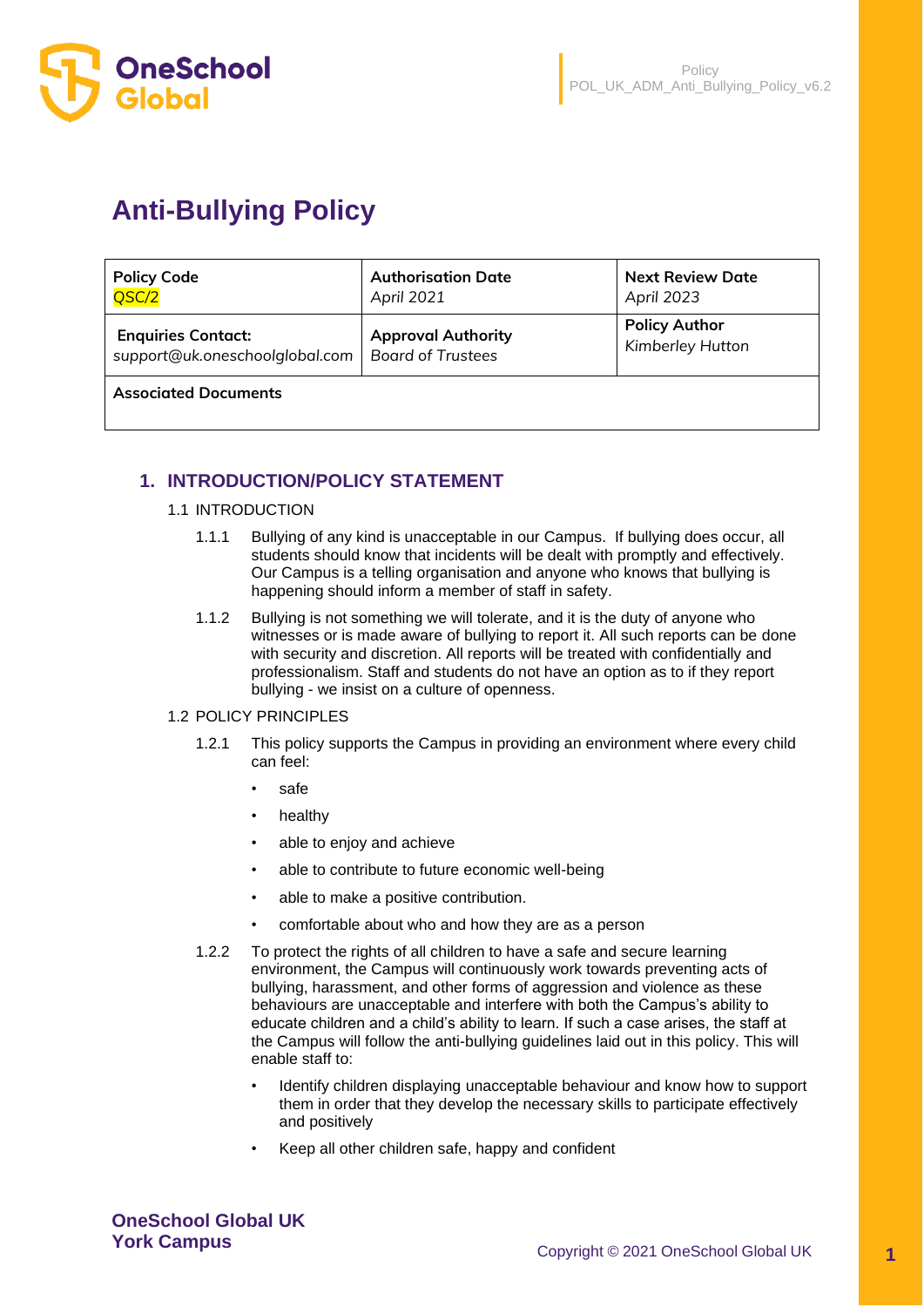

# **Anti-Bullying Policy**

| <b>Policy Code</b>             | <b>Authorisation Date</b> | <b>Next Review Date</b> |
|--------------------------------|---------------------------|-------------------------|
| QSC/2                          | April 2021                | April 2023              |
| <b>Enquiries Contact:</b>      | <b>Approval Authority</b> | <b>Policy Author</b>    |
| support@uk.oneschoolglobal.com | <b>Board of Trustees</b>  | Kimberley Hutton        |

**Associated Documents** 

# **1. INTRODUCTION/POLICY STATEMENT**

#### 1.1 INTRODUCTION

- 1.1.1 Bullying of any kind is unacceptable in our Campus. If bullying does occur, all students should know that incidents will be dealt with promptly and effectively. Our Campus is a telling organisation and anyone who knows that bullying is happening should inform a member of staff in safety.
- 1.1.2 Bullying is not something we will tolerate, and it is the duty of anyone who witnesses or is made aware of bullying to report it. All such reports can be done with security and discretion. All reports will be treated with confidentially and professionalism. Staff and students do not have an option as to if they report bullying - we insist on a culture of openness.

#### 1.2 POLICY PRINCIPLES

- 1.2.1 This policy supports the Campus in providing an environment where every child can feel:
	- safe
	- healthy
	- able to enjoy and achieve
	- able to contribute to future economic well-being
	- able to make a positive contribution.
	- comfortable about who and how they are as a person
- 1.2.2 To protect the rights of all children to have a safe and secure learning environment, the Campus will continuously work towards preventing acts of bullying, harassment, and other forms of aggression and violence as these behaviours are unacceptable and interfere with both the Campus's ability to educate children and a child's ability to learn. If such a case arises, the staff at the Campus will follow the anti-bullying guidelines laid out in this policy. This will enable staff to:
	- Identify children displaying unacceptable behaviour and know how to support them in order that they develop the necessary skills to participate effectively and positively
	- Keep all other children safe, happy and confident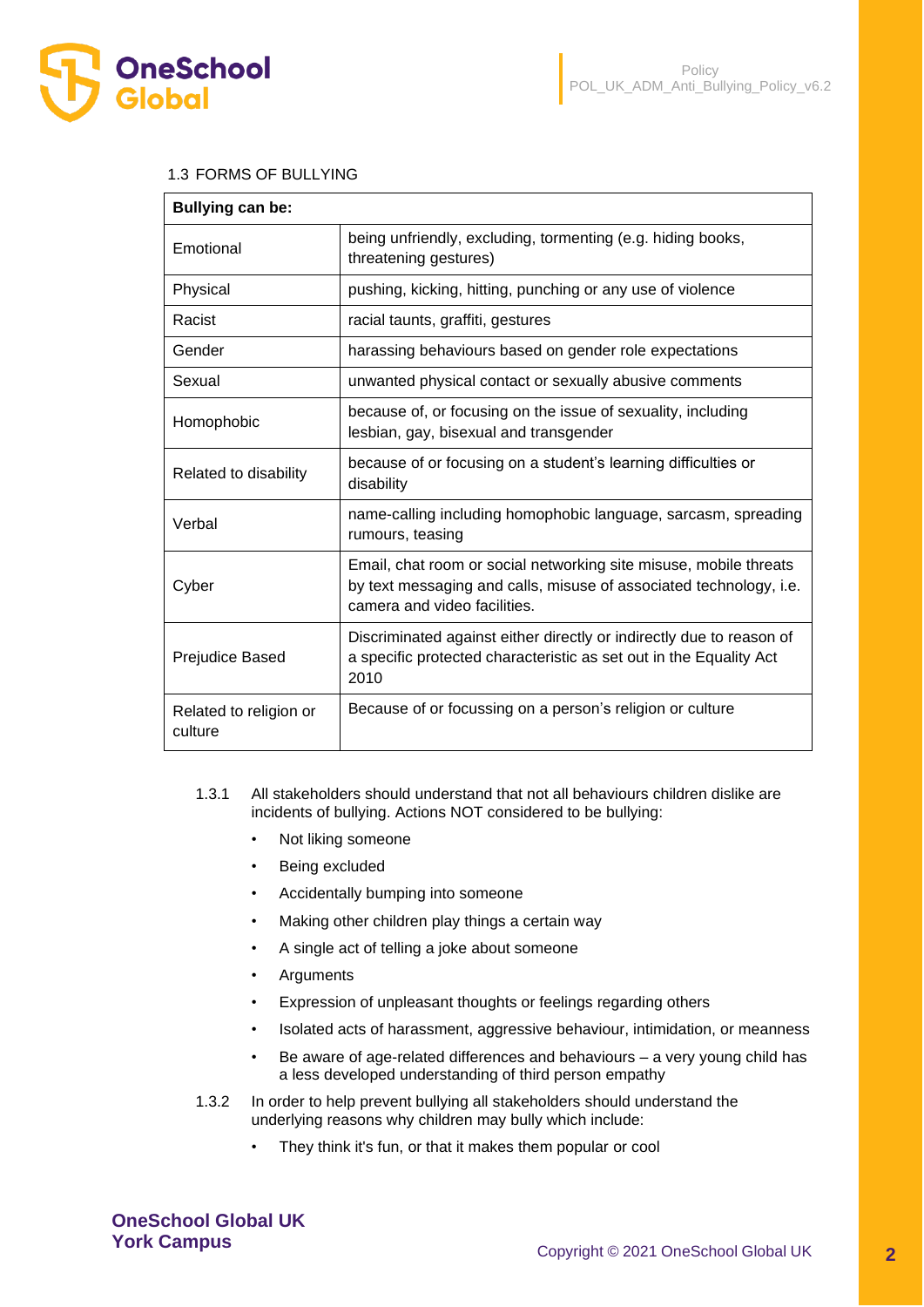

#### 1.3 FORMS OF BULLYING

| <b>Bullying can be:</b>           |                                                                                                                                                                         |
|-----------------------------------|-------------------------------------------------------------------------------------------------------------------------------------------------------------------------|
| Emotional                         | being unfriendly, excluding, tormenting (e.g. hiding books,<br>threatening gestures)                                                                                    |
| Physical                          | pushing, kicking, hitting, punching or any use of violence                                                                                                              |
| Racist                            | racial taunts, graffiti, gestures                                                                                                                                       |
| Gender                            | harassing behaviours based on gender role expectations                                                                                                                  |
| Sexual                            | unwanted physical contact or sexually abusive comments                                                                                                                  |
| Homophobic                        | because of, or focusing on the issue of sexuality, including<br>lesbian, gay, bisexual and transgender                                                                  |
| Related to disability             | because of or focusing on a student's learning difficulties or<br>disability                                                                                            |
| Verbal                            | name-calling including homophobic language, sarcasm, spreading<br>rumours, teasing                                                                                      |
| Cyber                             | Email, chat room or social networking site misuse, mobile threats<br>by text messaging and calls, misuse of associated technology, i.e.<br>camera and video facilities. |
| Prejudice Based                   | Discriminated against either directly or indirectly due to reason of<br>a specific protected characteristic as set out in the Equality Act<br>2010                      |
| Related to religion or<br>culture | Because of or focussing on a person's religion or culture                                                                                                               |

- 1.3.1 All stakeholders should understand that not all behaviours children dislike are incidents of bullying. Actions NOT considered to be bullying:
	- Not liking someone
	- Being excluded
	- Accidentally bumping into someone
	- Making other children play things a certain way
	- A single act of telling a joke about someone
	- **Arguments**
	- Expression of unpleasant thoughts or feelings regarding others
	- Isolated acts of harassment, aggressive behaviour, intimidation, or meanness
	- Be aware of age-related differences and behaviours a very young child has a less developed understanding of third person empathy
- 1.3.2 In order to help prevent bullying all stakeholders should understand the underlying reasons why children may bully which include:
	- They think it's fun, or that it makes them popular or cool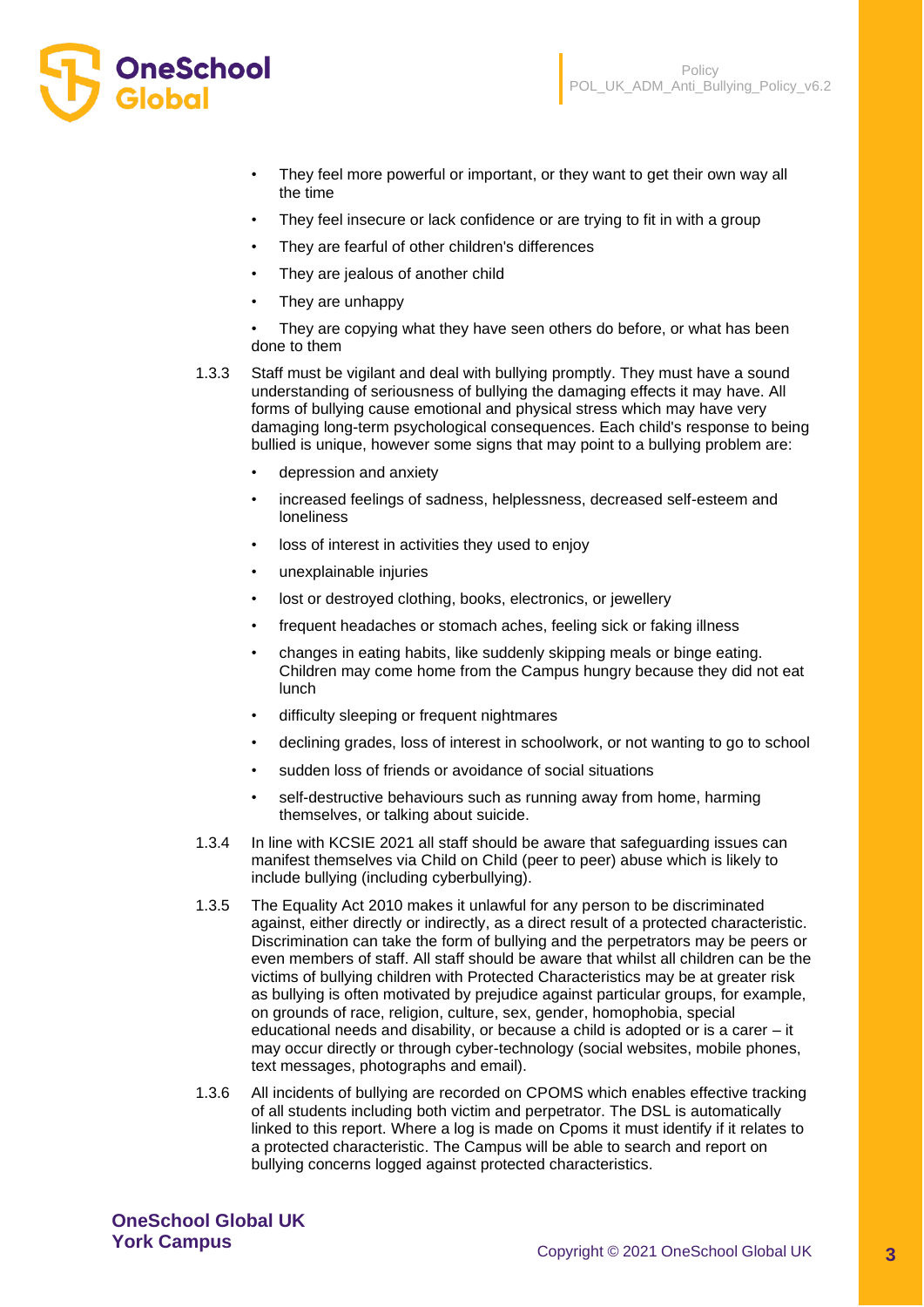

- They feel more powerful or important, or they want to get their own way all the time
- They feel insecure or lack confidence or are trying to fit in with a group
- They are fearful of other children's differences
- They are jealous of another child
- They are unhappy

They are copying what they have seen others do before, or what has been done to them

- 1.3.3 Staff must be vigilant and deal with bullying promptly. They must have a sound understanding of seriousness of bullying the damaging effects it may have. All forms of bullying cause emotional and physical stress which may have very damaging long-term psychological consequences. Each child's response to being bullied is unique, however some signs that may point to a bullying problem are:
	- depression and anxiety
	- increased feelings of sadness, helplessness, decreased self-esteem and loneliness
	- loss of interest in activities they used to enjoy
	- unexplainable injuries
	- lost or destroyed clothing, books, electronics, or jewellery
	- frequent headaches or stomach aches, feeling sick or faking illness
	- changes in eating habits, like suddenly skipping meals or binge eating. Children may come home from the Campus hungry because they did not eat lunch
	- difficulty sleeping or frequent nightmares
	- declining grades, loss of interest in schoolwork, or not wanting to go to school
	- sudden loss of friends or avoidance of social situations
	- self-destructive behaviours such as running away from home, harming themselves, or talking about suicide.
- 1.3.4 In line with KCSIE 2021 all staff should be aware that safeguarding issues can manifest themselves via Child on Child (peer to peer) abuse which is likely to include bullying (including cyberbullying).
- 1.3.5 The Equality Act 2010 makes it unlawful for any person to be discriminated against, either directly or indirectly, as a direct result of a protected characteristic. Discrimination can take the form of bullying and the perpetrators may be peers or even members of staff. All staff should be aware that whilst all children can be the victims of bullying children with Protected Characteristics may be at greater risk as bullying is often motivated by prejudice against particular groups, for example, on grounds of race, religion, culture, sex, gender, homophobia, special educational needs and disability, or because a child is adopted or is a carer – it may occur directly or through cyber-technology (social websites, mobile phones, text messages, photographs and email).
- 1.3.6 All incidents of bullying are recorded on CPOMS which enables effective tracking of all students including both victim and perpetrator. The DSL is automatically linked to this report. Where a log is made on Cpoms it must identify if it relates to a protected characteristic. The Campus will be able to search and report on bullying concerns logged against protected characteristics.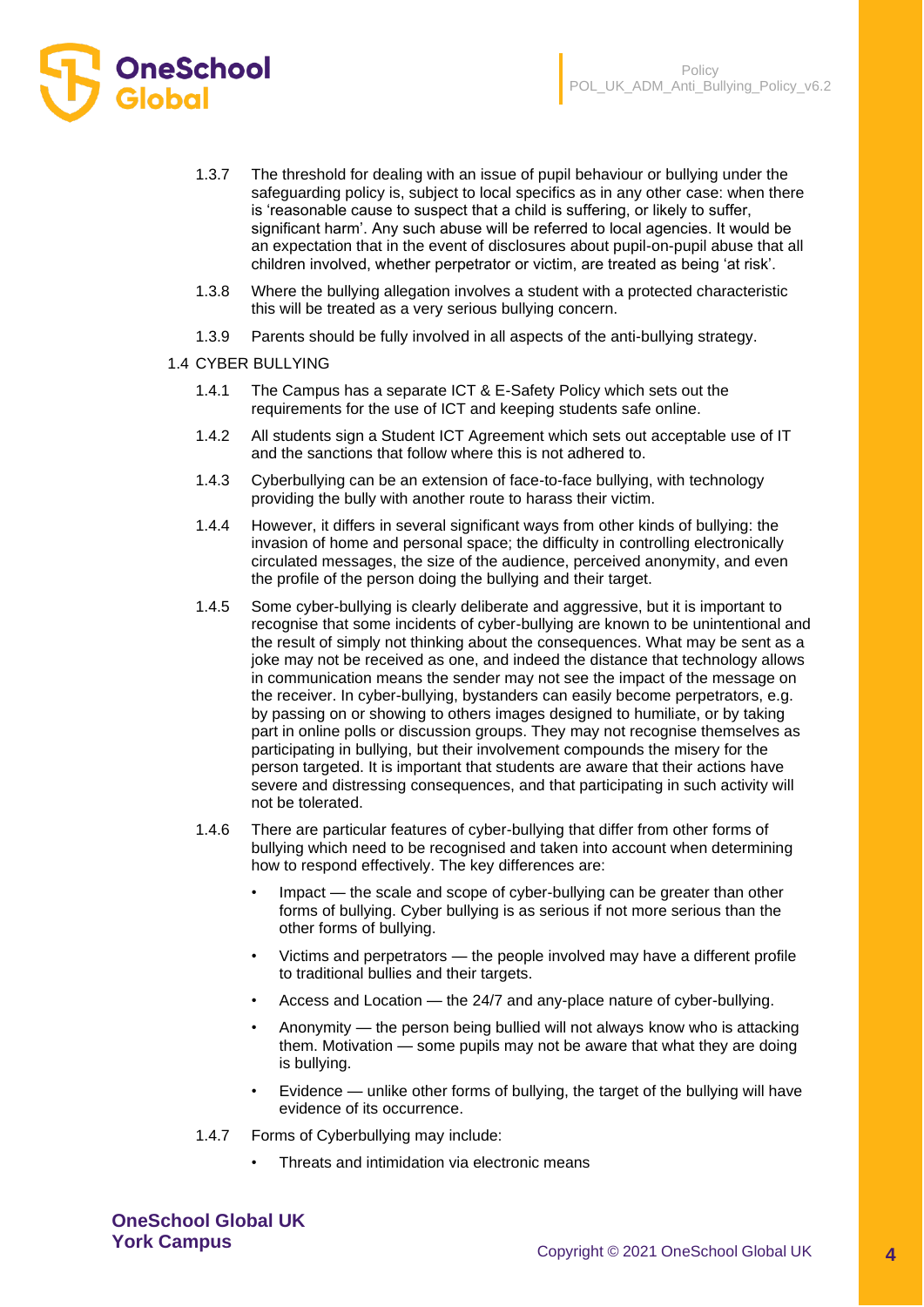

- 1.3.7 The threshold for dealing with an issue of pupil behaviour or bullying under the safeguarding policy is, subject to local specifics as in any other case: when there is 'reasonable cause to suspect that a child is suffering, or likely to suffer, significant harm'. Any such abuse will be referred to local agencies. It would be an expectation that in the event of disclosures about pupil-on-pupil abuse that all children involved, whether perpetrator or victim, are treated as being 'at risk'.
- 1.3.8 Where the bullying allegation involves a student with a protected characteristic this will be treated as a very serious bullying concern.
- 1.3.9 Parents should be fully involved in all aspects of the anti-bullying strategy.
- 1.4 CYBER BULLYING

**OneSchool** 

- 1.4.1 The Campus has a separate ICT & E-Safety Policy which sets out the requirements for the use of ICT and keeping students safe online.
- 1.4.2 All students sign a Student ICT Agreement which sets out acceptable use of IT and the sanctions that follow where this is not adhered to.
- 1.4.3 Cyberbullying can be an extension of face-to-face bullying, with technology providing the bully with another route to harass their victim.
- 1.4.4 However, it differs in several significant ways from other kinds of bullying: the invasion of home and personal space; the difficulty in controlling electronically circulated messages, the size of the audience, perceived anonymity, and even the profile of the person doing the bullying and their target.
- 1.4.5 Some cyber-bullying is clearly deliberate and aggressive, but it is important to recognise that some incidents of cyber-bullying are known to be unintentional and the result of simply not thinking about the consequences. What may be sent as a joke may not be received as one, and indeed the distance that technology allows in communication means the sender may not see the impact of the message on the receiver. In cyber-bullying, bystanders can easily become perpetrators, e.g. by passing on or showing to others images designed to humiliate, or by taking part in online polls or discussion groups. They may not recognise themselves as participating in bullying, but their involvement compounds the misery for the person targeted. It is important that students are aware that their actions have severe and distressing consequences, and that participating in such activity will not be tolerated.
- 1.4.6 There are particular features of cyber-bullying that differ from other forms of bullying which need to be recognised and taken into account when determining how to respond effectively. The key differences are:
	- Impact the scale and scope of cyber-bullying can be greater than other forms of bullying. Cyber bullying is as serious if not more serious than the other forms of bullying.
	- Victims and perpetrators the people involved may have a different profile to traditional bullies and their targets.
	- Access and Location the 24/7 and any-place nature of cyber-bullying.
	- Anonymity the person being bullied will not always know who is attacking them. Motivation — some pupils may not be aware that what they are doing is bullying.
	- Evidence unlike other forms of bullying, the target of the bullying will have evidence of its occurrence.
- 1.4.7 Forms of Cyberbullying may include:
	- Threats and intimidation via electronic means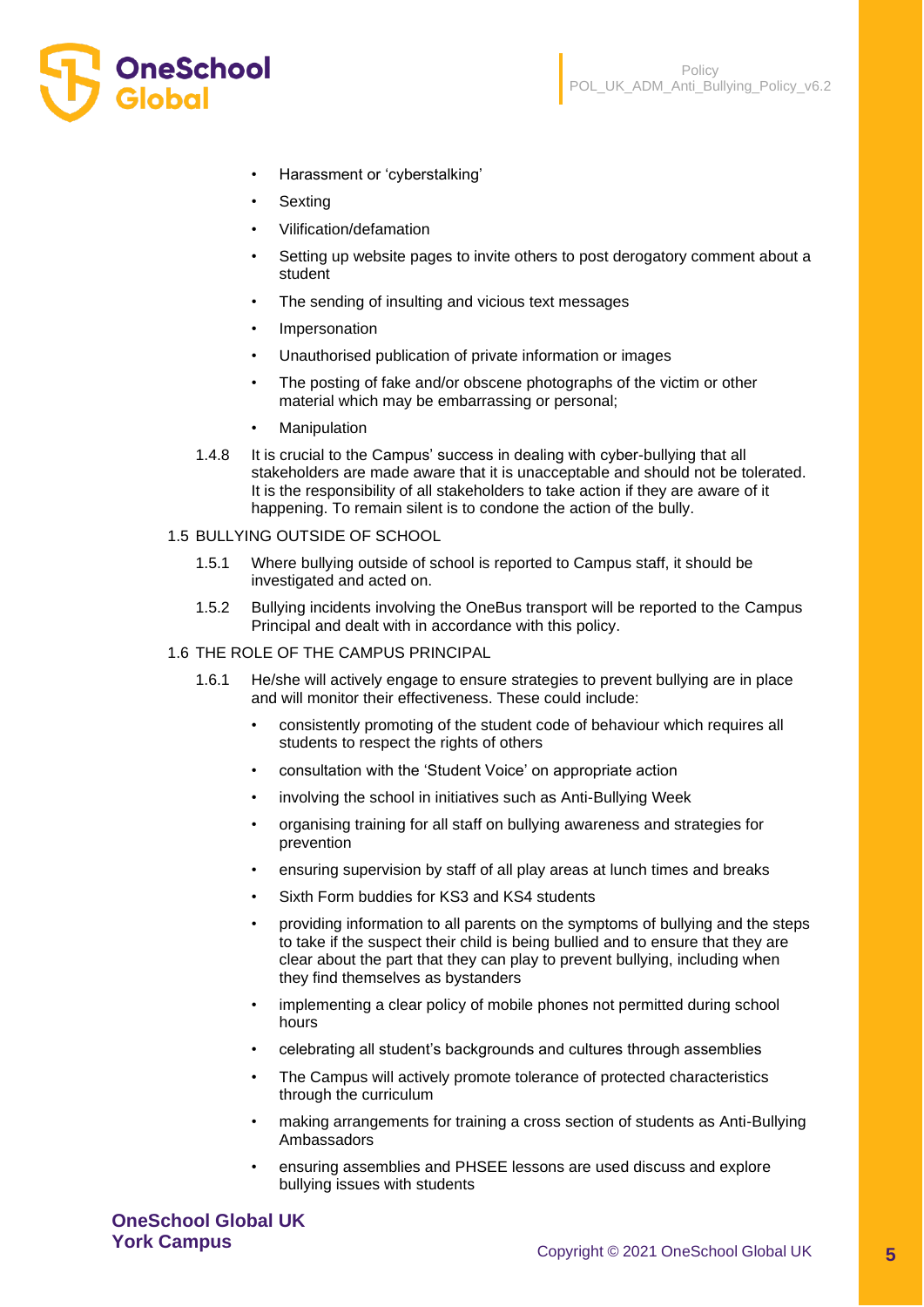

- Harassment or 'cyberstalking'
- **Sexting**
- Vilification/defamation
- Setting up website pages to invite others to post derogatory comment about a student
- The sending of insulting and vicious text messages
- **Impersonation**
- Unauthorised publication of private information or images
- The posting of fake and/or obscene photographs of the victim or other material which may be embarrassing or personal;
- **Manipulation**
- 1.4.8 It is crucial to the Campus' success in dealing with cyber-bullying that all stakeholders are made aware that it is unacceptable and should not be tolerated. It is the responsibility of all stakeholders to take action if they are aware of it happening. To remain silent is to condone the action of the bully.

#### 1.5 BULLYING OUTSIDE OF SCHOOL

- 1.5.1 Where bullying outside of school is reported to Campus staff, it should be investigated and acted on.
- 1.5.2 Bullying incidents involving the OneBus transport will be reported to the Campus Principal and dealt with in accordance with this policy.
- 1.6 THE ROLE OF THE CAMPUS PRINCIPAL
	- 1.6.1 He/she will actively engage to ensure strategies to prevent bullying are in place and will monitor their effectiveness. These could include:
		- consistently promoting of the student code of behaviour which requires all students to respect the rights of others
		- consultation with the 'Student Voice' on appropriate action
		- involving the school in initiatives such as Anti-Bullying Week
		- organising training for all staff on bullying awareness and strategies for prevention
		- ensuring supervision by staff of all play areas at lunch times and breaks
		- Sixth Form buddies for KS3 and KS4 students
		- providing information to all parents on the symptoms of bullying and the steps to take if the suspect their child is being bullied and to ensure that they are clear about the part that they can play to prevent bullying, including when they find themselves as bystanders
		- implementing a clear policy of mobile phones not permitted during school hours
		- celebrating all student's backgrounds and cultures through assemblies
		- The Campus will actively promote tolerance of protected characteristics through the curriculum
		- making arrangements for training a cross section of students as Anti-Bullying Ambassadors
		- ensuring assemblies and PHSEE lessons are used discuss and explore bullying issues with students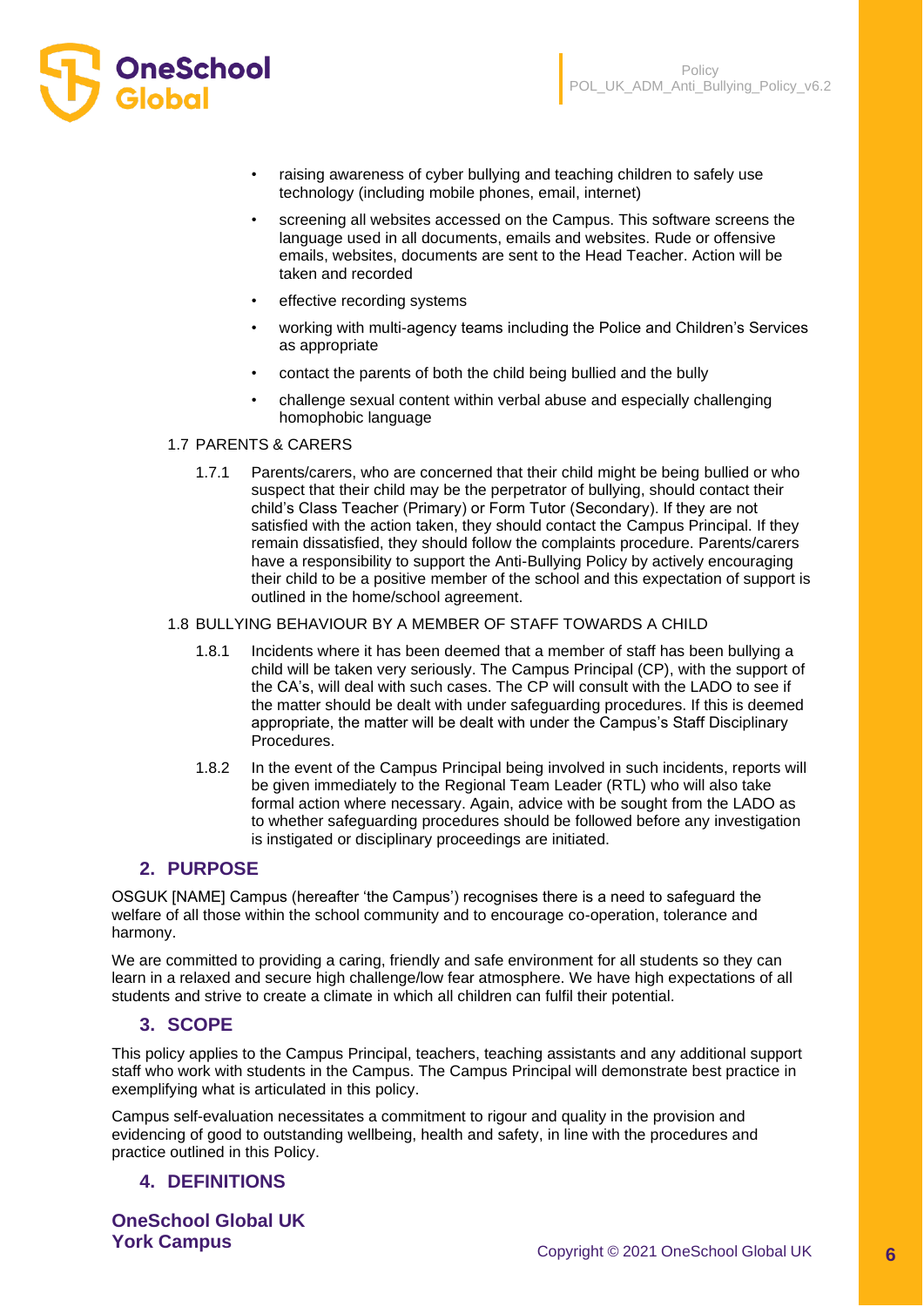

- raising awareness of cyber bullying and teaching children to safely use technology (including mobile phones, email, internet)
- screening all websites accessed on the Campus. This software screens the language used in all documents, emails and websites. Rude or offensive emails, websites, documents are sent to the Head Teacher. Action will be taken and recorded
- effective recording systems
- working with multi-agency teams including the Police and Children's Services as appropriate
- contact the parents of both the child being bullied and the bully
- challenge sexual content within verbal abuse and especially challenging homophobic language

#### 1.7 PARENTS & CARERS

1.7.1 Parents/carers, who are concerned that their child might be being bullied or who suspect that their child may be the perpetrator of bullying, should contact their child's Class Teacher (Primary) or Form Tutor (Secondary). If they are not satisfied with the action taken, they should contact the Campus Principal. If they remain dissatisfied, they should follow the complaints procedure. Parents/carers have a responsibility to support the Anti-Bullying Policy by actively encouraging their child to be a positive member of the school and this expectation of support is outlined in the home/school agreement.

#### 1.8 BULLYING BEHAVIOUR BY A MEMBER OF STAFF TOWARDS A CHILD

- 1.8.1 Incidents where it has been deemed that a member of staff has been bullying a child will be taken very seriously. The Campus Principal (CP), with the support of the CA's, will deal with such cases. The CP will consult with the LADO to see if the matter should be dealt with under safeguarding procedures. If this is deemed appropriate, the matter will be dealt with under the Campus's Staff Disciplinary Procedures.
- 1.8.2 In the event of the Campus Principal being involved in such incidents, reports will be given immediately to the Regional Team Leader (RTL) who will also take formal action where necessary. Again, advice with be sought from the LADO as to whether safeguarding procedures should be followed before any investigation is instigated or disciplinary proceedings are initiated.

### **2. PURPOSE**

OSGUK [NAME] Campus (hereafter 'the Campus') recognises there is a need to safeguard the welfare of all those within the school community and to encourage co-operation, tolerance and harmony.

We are committed to providing a caring, friendly and safe environment for all students so they can learn in a relaxed and secure high challenge/low fear atmosphere. We have high expectations of all students and strive to create a climate in which all children can fulfil their potential.

### **3. SCOPE**

This policy applies to the Campus Principal, teachers, teaching assistants and any additional support staff who work with students in the Campus. The Campus Principal will demonstrate best practice in exemplifying what is articulated in this policy.

Campus self-evaluation necessitates a commitment to rigour and quality in the provision and evidencing of good to outstanding wellbeing, health and safety, in line with the procedures and practice outlined in this Policy.

### **4. DEFINITIONS**

**OneSchool Global UK**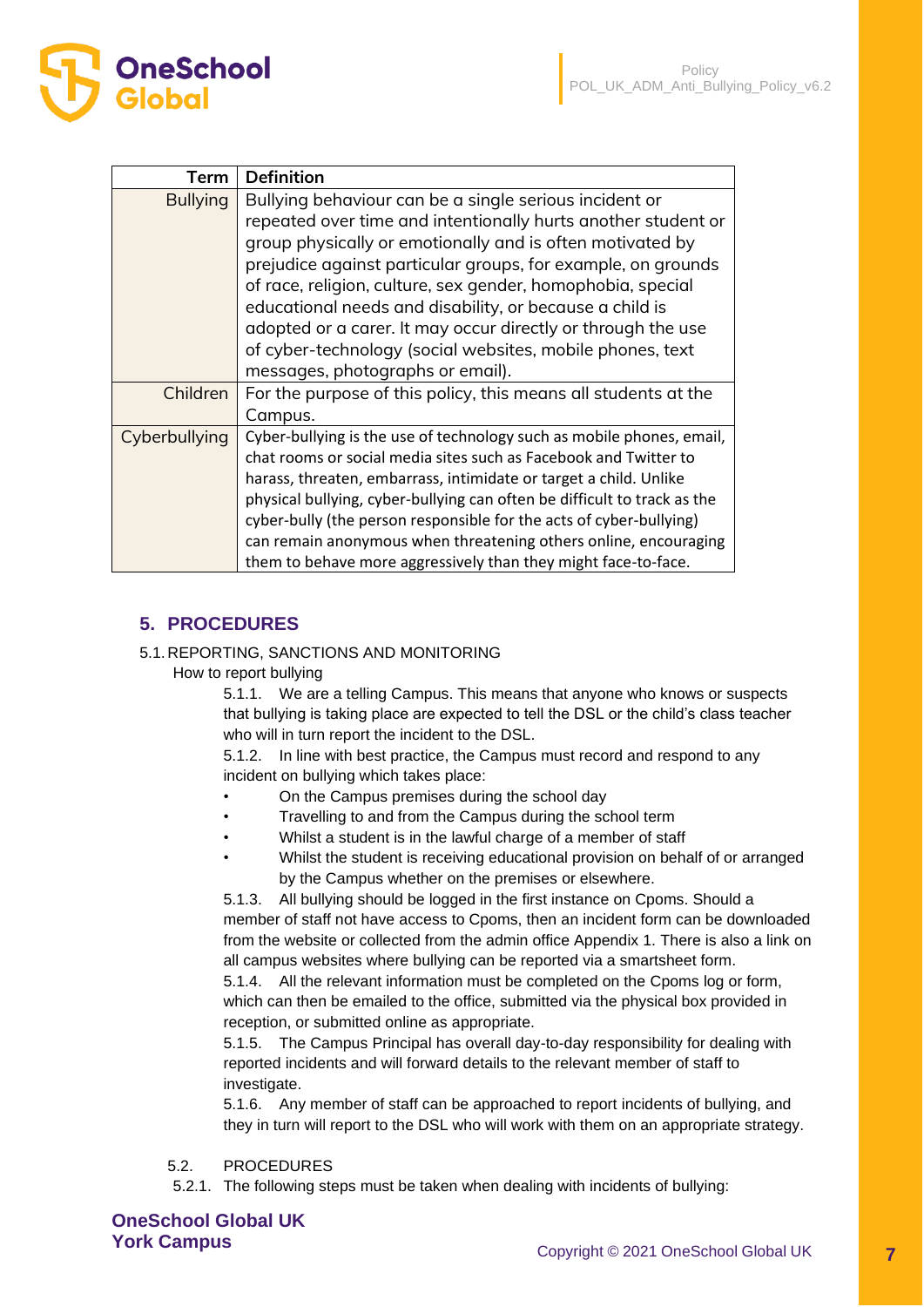| Term            | <b>Definition</b>                                                        |
|-----------------|--------------------------------------------------------------------------|
| <b>Bullying</b> | Bullying behaviour can be a single serious incident or                   |
|                 | repeated over time and intentionally hurts another student or            |
|                 | group physically or emotionally and is often motivated by                |
|                 | prejudice against particular groups, for example, on grounds             |
|                 | of race, religion, culture, sex gender, homophobia, special              |
|                 | educational needs and disability, or because a child is                  |
|                 | adopted or a carer. It may occur directly or through the use             |
|                 | of cyber-technology (social websites, mobile phones, text                |
|                 | messages, photographs or email).                                         |
| Children        | For the purpose of this policy, this means all students at the           |
|                 | Campus.                                                                  |
| Cyberbullying   | Cyber-bullying is the use of technology such as mobile phones, email,    |
|                 | chat rooms or social media sites such as Facebook and Twitter to         |
|                 | harass, threaten, embarrass, intimidate or target a child. Unlike        |
|                 | physical bullying, cyber-bullying can often be difficult to track as the |
|                 | cyber-bully (the person responsible for the acts of cyber-bullying)      |
|                 | can remain anonymous when threatening others online, encouraging         |
|                 | them to behave more aggressively than they might face-to-face.           |

# **5. PROCEDURES**

**OneSchool** 

## 5.1.REPORTING, SANCTIONS AND MONITORING

How to report bullying

5.1.1. We are a telling Campus. This means that anyone who knows or suspects that bullying is taking place are expected to tell the DSL or the child's class teacher who will in turn report the incident to the DSL.

5.1.2. In line with best practice, the Campus must record and respond to any incident on bullying which takes place:

- On the Campus premises during the school day
- Travelling to and from the Campus during the school term
- Whilst a student is in the lawful charge of a member of staff
- Whilst the student is receiving educational provision on behalf of or arranged by the Campus whether on the premises or elsewhere.

5.1.3. All bullying should be logged in the first instance on Cpoms. Should a member of staff not have access to Cpoms, then an incident form can be downloaded from the website or collected from the admin office Appendix 1. There is also a link on all campus websites where bullying can be reported via a smartsheet form.

5.1.4. All the relevant information must be completed on the Cpoms log or form, which can then be emailed to the office, submitted via the physical box provided in reception, or submitted online as appropriate.

5.1.5. The Campus Principal has overall day-to-day responsibility for dealing with reported incidents and will forward details to the relevant member of staff to investigate.

5.1.6. Any member of staff can be approached to report incidents of bullying, and they in turn will report to the DSL who will work with them on an appropriate strategy.

## 5.2. PROCEDURES

5.2.1. The following steps must be taken when dealing with incidents of bullying: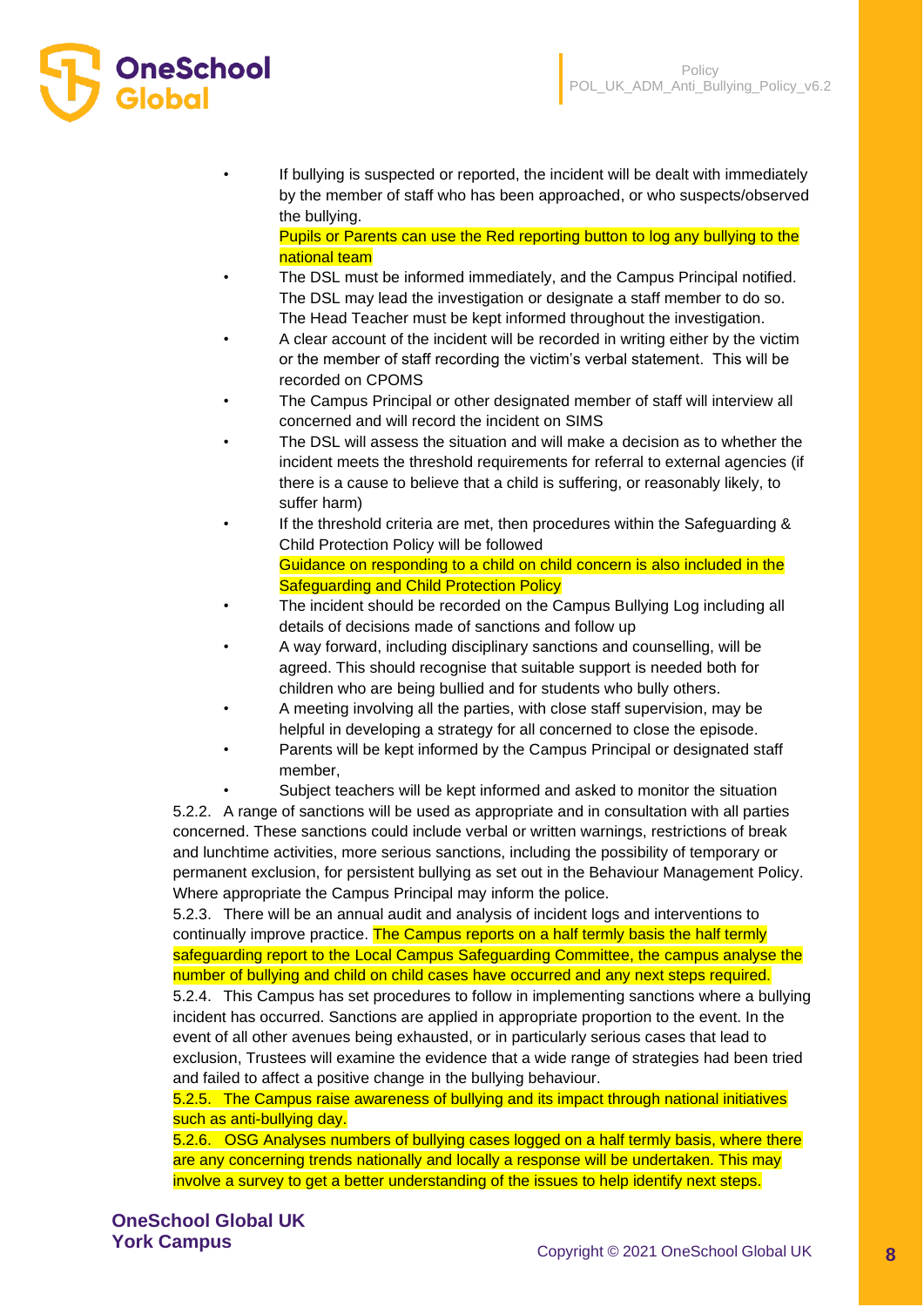

If bullying is suspected or reported, the incident will be dealt with immediately by the member of staff who has been approached, or who suspects/observed the bullying.

Pupils or Parents can use the Red reporting button to log any bullying to the national team

- The DSL must be informed immediately, and the Campus Principal notified. The DSL may lead the investigation or designate a staff member to do so. The Head Teacher must be kept informed throughout the investigation.
- A clear account of the incident will be recorded in writing either by the victim or the member of staff recording the victim's verbal statement. This will be recorded on CPOMS
- The Campus Principal or other designated member of staff will interview all concerned and will record the incident on SIMS
- The DSL will assess the situation and will make a decision as to whether the incident meets the threshold requirements for referral to external agencies (if there is a cause to believe that a child is suffering, or reasonably likely, to suffer harm)
- If the threshold criteria are met, then procedures within the Safeguarding & Child Protection Policy will be followed Guidance on responding to a child on child concern is also included in the Safeguarding and Child Protection Policy
- The incident should be recorded on the Campus Bullying Log including all details of decisions made of sanctions and follow up
- A way forward, including disciplinary sanctions and counselling, will be agreed. This should recognise that suitable support is needed both for children who are being bullied and for students who bully others.
- A meeting involving all the parties, with close staff supervision, may be helpful in developing a strategy for all concerned to close the episode.
- Parents will be kept informed by the Campus Principal or designated staff member,

Subject teachers will be kept informed and asked to monitor the situation 5.2.2. A range of sanctions will be used as appropriate and in consultation with all parties concerned. These sanctions could include verbal or written warnings, restrictions of break and lunchtime activities, more serious sanctions, including the possibility of temporary or permanent exclusion, for persistent bullying as set out in the Behaviour Management Policy. Where appropriate the Campus Principal may inform the police.

5.2.3. There will be an annual audit and analysis of incident logs and interventions to continually improve practice. The Campus reports on a half termly basis the half termly safeguarding report to the Local Campus Safeguarding Committee, the campus analyse the number of bullying and child on child cases have occurred and any next steps required.

5.2.4. This Campus has set procedures to follow in implementing sanctions where a bullying incident has occurred. Sanctions are applied in appropriate proportion to the event. In the event of all other avenues being exhausted, or in particularly serious cases that lead to exclusion, Trustees will examine the evidence that a wide range of strategies had been tried and failed to affect a positive change in the bullying behaviour.

5.2.5. The Campus raise awareness of bullying and its impact through national initiatives such as anti-bullying day.

5.2.6. OSG Analyses numbers of bullying cases logged on a half termly basis, where there are any concerning trends nationally and locally a response will be undertaken. This may involve a survey to get a better understanding of the issues to help identify next steps.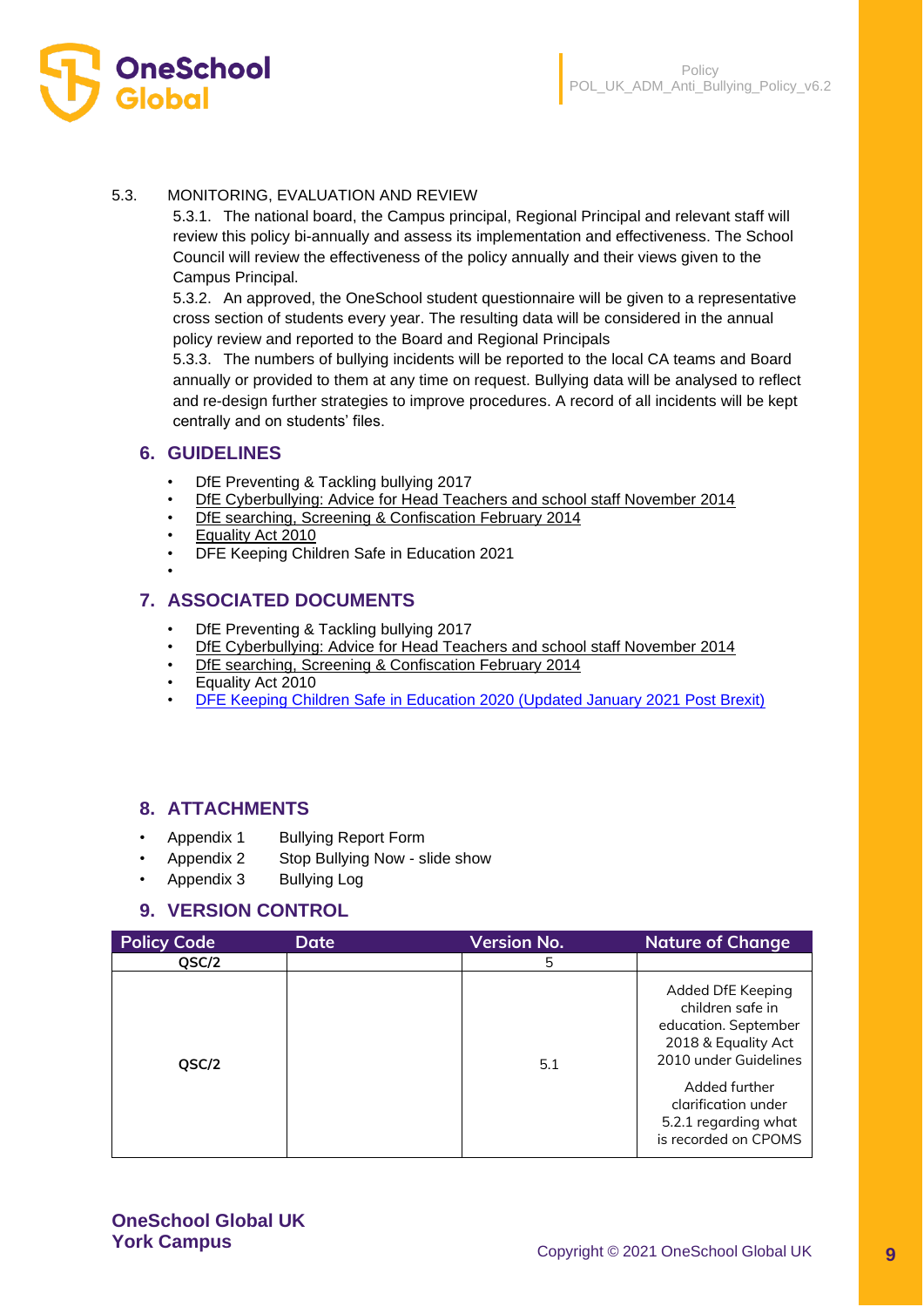

#### 5.3. MONITORING, EVALUATION AND REVIEW

5.3.1. The national board, the Campus principal, Regional Principal and relevant staff will review this policy bi-annually and assess its implementation and effectiveness. The School Council will review the effectiveness of the policy annually and their views given to the Campus Principal.

5.3.2. An approved, the OneSchool student questionnaire will be given to a representative cross section of students every year. The resulting data will be considered in the annual policy review and reported to the Board and Regional Principals

5.3.3. The numbers of bullying incidents will be reported to the local CA teams and Board annually or provided to them at any time on request. Bullying data will be analysed to reflect and re-design further strategies to improve procedures. A record of all incidents will be kept centrally and on students' files.

### **6. GUIDELINES**

•

- DfE Preventing & Tackling bullying 2017
- [DfE Cyberbullying: Advice for Head Teachers and school staff November 2014](https://www.gov.uk/government/uploads/system/uploads/attachment_data/file/374850/Cyberbullying_Advice_for_Headteachers_and_School_Staff_121114.pdf)
- [DfE searching, Screening & Confiscation February 2014](https://www.gov.uk/government/uploads/system/uploads/attachment_data/file/554415/searching_screening_confiscation_advice_Sept_2016.pdf)
- [Equality Act 2010](http://www.legislation.gov.uk/ukpga/2010/15/contents)
- DFE Keeping Children Safe in Education 2021

## **7. ASSOCIATED DOCUMENTS**

- DfE Preventing & Tackling bullying 2017
- [DfE Cyberbullying: Advice for Head Teachers and school staff November 2014](https://www.gov.uk/government/uploads/system/uploads/attachment_data/file/374850/Cyberbullying_Advice_for_Headteachers_and_School_Staff_121114.pdf)
- [DfE searching, Screening & Confiscation February 2014](https://www.gov.uk/government/uploads/system/uploads/attachment_data/file/554415/searching_screening_confiscation_advice_Sept_2016.pdf)
- Equality Act 2010
- [DFE Keeping Children Safe in Education 2020 \(Updated January 2021 Post Brexit\)](https://assets.publishing.service.gov.uk/government/uploads/system/uploads/attachment_data/file/954314/Keeping_children_safe_in_education_2020_-_Update_-_January_2021.pdf)

# **8. ATTACHMENTS**

- Appendix 1 Bullying Report Form
- Appendix 2 Stop Bullying Now slide show
- Appendix 3 Bullying Log

# **9. VERSION CONTROL**

| <b>Policy Code</b> | Date | <b>Version No.</b> | <b>Nature of Change</b>                                                                                                                                                                               |
|--------------------|------|--------------------|-------------------------------------------------------------------------------------------------------------------------------------------------------------------------------------------------------|
| QSC/2              |      | 5                  |                                                                                                                                                                                                       |
| QSC/2              |      | 5.1                | Added DfE Keeping<br>children safe in<br>education. September<br>2018 & Equality Act<br>2010 under Guidelines<br>Added further<br>clarification under<br>5.2.1 regarding what<br>is recorded on CPOMS |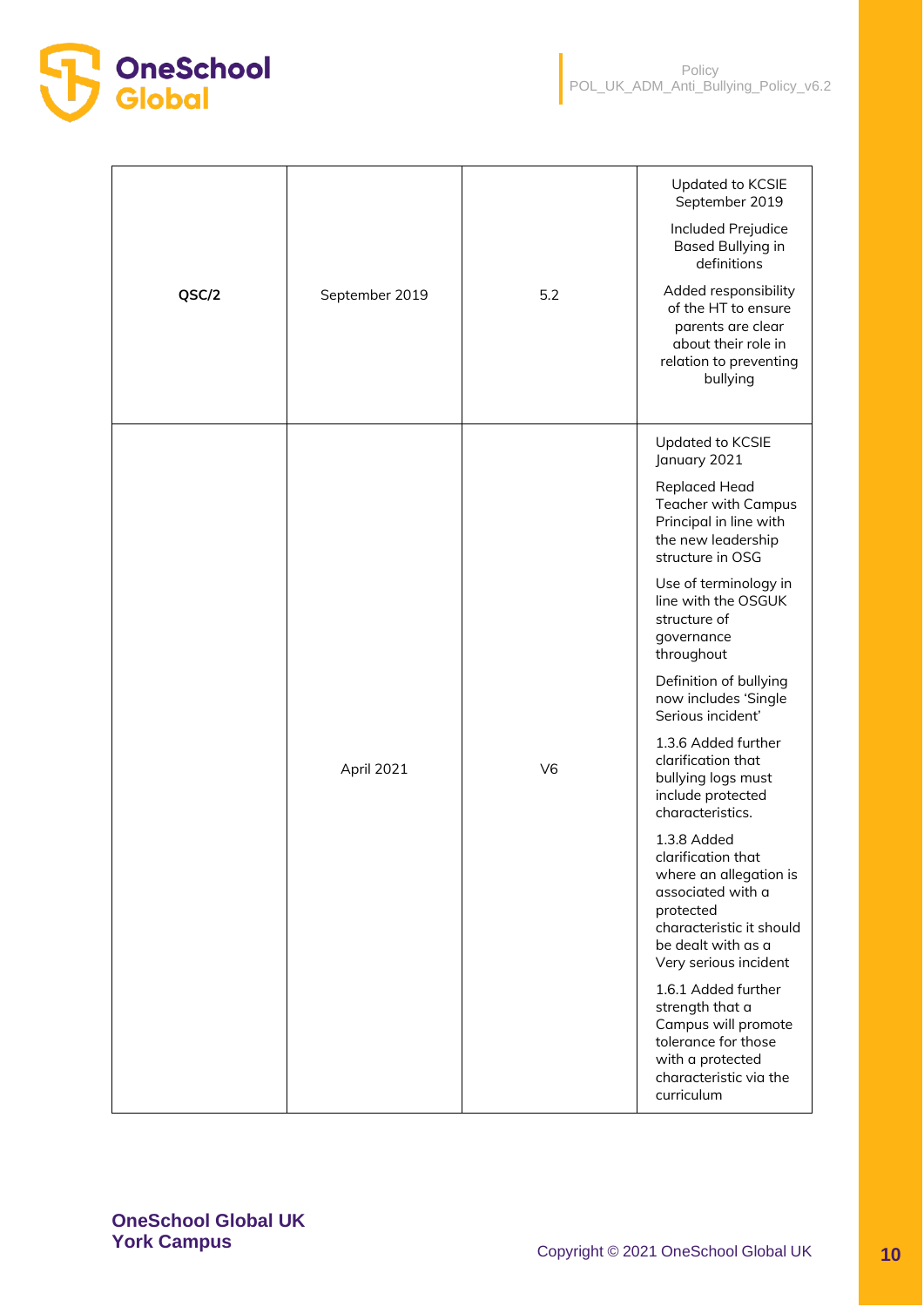

| QSC/2 | September 2019 | 5.2            | Updated to KCSIE<br>September 2019<br>Included Prejudice<br>Based Bullying in<br>definitions<br>Added responsibility<br>of the HT to ensure<br>parents are clear<br>about their role in<br>relation to preventing<br>bullying                                                                                                                                                                                                                                                                                                                                                                                                                                                                                                                                             |
|-------|----------------|----------------|---------------------------------------------------------------------------------------------------------------------------------------------------------------------------------------------------------------------------------------------------------------------------------------------------------------------------------------------------------------------------------------------------------------------------------------------------------------------------------------------------------------------------------------------------------------------------------------------------------------------------------------------------------------------------------------------------------------------------------------------------------------------------|
|       | April 2021     | V <sub>6</sub> | Updated to KCSIE<br>January 2021<br><b>Replaced Head</b><br><b>Teacher with Campus</b><br>Principal in line with<br>the new leadership<br>structure in OSG<br>Use of terminology in<br>line with the OSGUK<br>structure of<br>governance<br>throughout<br>Definition of bullying<br>now includes 'Single<br>Serious incident'<br>1.3.6 Added further<br>clarification that<br>bullying logs must<br>include protected<br>characteristics.<br>1.3.8 Added<br>clarification that<br>where an allegation is<br>associated with a<br>protected<br>characteristic it should<br>be dealt with as a<br>Very serious incident<br>1.6.1 Added further<br>strength that a<br>Campus will promote<br>tolerance for those<br>with a protected<br>characteristic via the<br>curriculum |